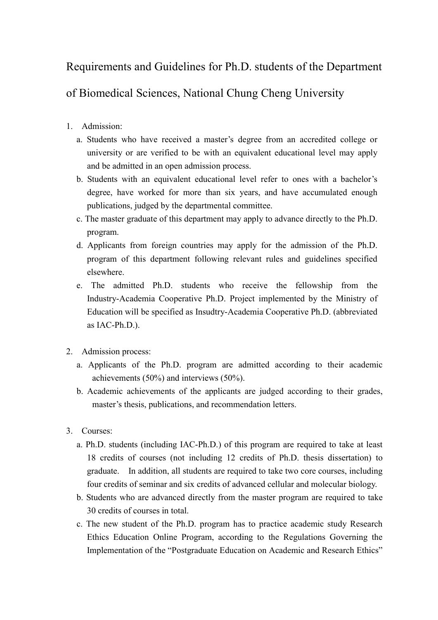## Requirements and Guidelines for Ph.D. students of the Department

## of Biomedical Sciences, National Chung Cheng University

- 1. Admission:
	- a. Students who have received a master's degree from an accredited college or university or are verified to be with an equivalent educational level may apply and be admitted in an open admission process.
	- b. Students with an equivalent educational level refer to ones with a bachelor's degree, have worked for more than six years, and have accumulated enough publications, judged by the departmental committee.
	- c. The master graduate of this department may apply to advance directly to the Ph.D. program.
	- d. Applicants from foreign countries may apply for the admission of the Ph.D. program of this department following relevant rules and guidelines specified elsewhere.
	- e. The admitted Ph.D. students who receive the fellowship from the Industry-Academia Cooperative Ph.D. Project implemented by the Ministry of Education will be specified as Insudtry-Academia Cooperative Ph.D. (abbreviated as IAC-Ph.D.).
- 2. Admission process:
	- a. Applicants of the Ph.D. program are admitted according to their academic achievements (50%) and interviews (50%).
	- b. Academic achievements of the applicants are judged according to their grades, master's thesis, publications, and recommendation letters.
- 3. Courses:
	- a. Ph.D. students (including IAC-Ph.D.) of this program are required to take at least 18 credits of courses (not including 12 credits of Ph.D. thesis dissertation) to graduate. In addition, all students are required to take two core courses, including four credits of seminar and six credits of advanced cellular and molecular biology.
	- b. Students who are advanced directly from the master program are required to take 30 credits of courses in total.
	- c. The new student of the Ph.D. program has to practice academic study Research Ethics Education Online Program, according to the Regulations Governing the Implementation of the "Postgraduate Education on Academic and Research Ethics"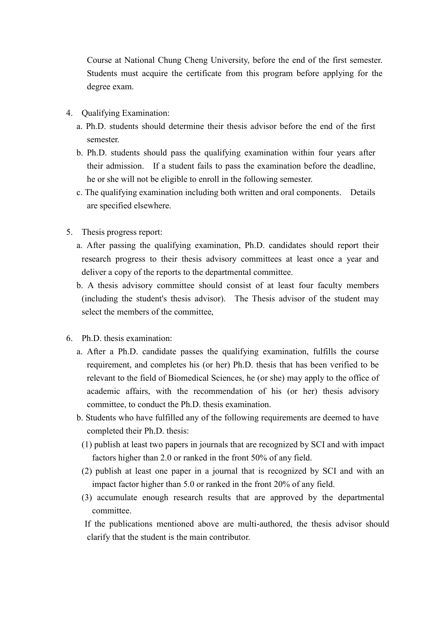Course at National Chung Cheng University, before the end of the first semester. Students must acquire the certificate from this program before applying for the degree exam.

- 4. Qualifying Examination:
	- a. Ph.D. students should determine their thesis advisor before the end of the first semester.
	- b. Ph.D. students should pass the qualifying examination within four years after their admission. If a student fails to pass the examination before the deadline, he or she will not be eligible to enroll in the following semester.
	- c. The qualifying examination including both written and oral components. Details are specified elsewhere.
- 5. Thesis progress report:
	- a. After passing the qualifying examination, Ph.D. candidates should report their research progress to their thesis advisory committees at least once a year and deliver a copy of the reports to the departmental committee.
	- b. A thesis advisory committee should consist of at least four faculty members (including the student's thesis advisor). The Thesis advisor of the student may select the members of the committee,
- 6. Ph.D. thesis examination:
	- a. After a Ph.D. candidate passes the qualifying examination, fulfills the course requirement, and completes his (or her) Ph.D. thesis that has been verified to be relevant to the field of Biomedical Sciences, he (or she) may apply to the office of academic affairs, with the recommendation of his (or her) thesis advisory committee, to conduct the Ph.D. thesis examination.
	- b. Students who have fulfilled any of the following requirements are deemed to have completed their Ph.D. thesis:
		- (1) publish at least two papers in journals that are recognized by SCI and with impact factors higher than 2.0 or ranked in the front 50% of any field.
		- (2) publish at least one paper in a journal that is recognized by SCI and with an impact factor higher than 5.0 or ranked in the front 20% of any field.
		- (3) accumulate enough research results that are approved by the departmental committee.
		- If the publications mentioned above are multi-authored, the thesis advisor should clarify that the student is the main contributor.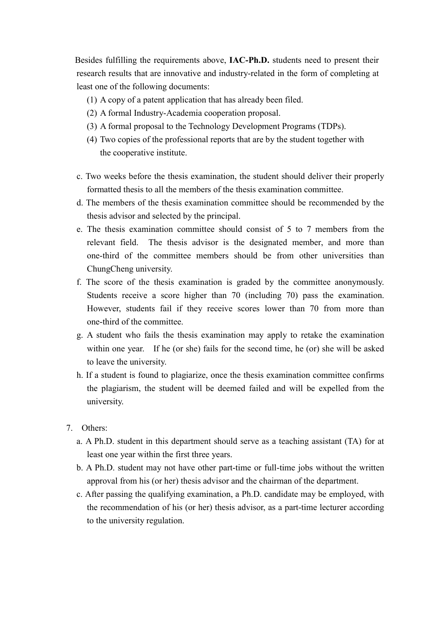Besides fulfilling the requirements above, IAC-Ph.D. students need to present their research results that are innovative and industry-related in the form of completing at least one of the following documents:

- (1) A copy of a patent application that has already been filed.
- (2) A formal Industry-Academia cooperation proposal.
- (3) A formal proposal to the Technology Development Programs (TDPs).
- (4) Two copies of the professional reports that are by the student together with the cooperative institute.
- c. Two weeks before the thesis examination, the student should deliver their properly formatted thesis to all the members of the thesis examination committee.
- d. The members of the thesis examination committee should be recommended by the thesis advisor and selected by the principal.
- e. The thesis examination committee should consist of 5 to 7 members from the relevant field. The thesis advisor is the designated member, and more than one-third of the committee members should be from other universities than ChungCheng university.
- f. The score of the thesis examination is graded by the committee anonymously. Students receive a score higher than 70 (including 70) pass the examination. However, students fail if they receive scores lower than 70 from more than one-third of the committee.
- g. A student who fails the thesis examination may apply to retake the examination within one year. If he (or she) fails for the second time, he (or) she will be asked to leave the university.
- h. If a student is found to plagiarize, once the thesis examination committee confirms the plagiarism, the student will be deemed failed and will be expelled from the university.
- 7. Others:
	- a. A Ph.D. student in this department should serve as a teaching assistant (TA) for at least one year within the first three years.
	- b. A Ph.D. student may not have other part-time or full-time jobs without the written approval from his (or her) thesis advisor and the chairman of the department.
	- c. After passing the qualifying examination, a Ph.D. candidate may be employed, with the recommendation of his (or her) thesis advisor, as a part-time lecturer according to the university regulation.